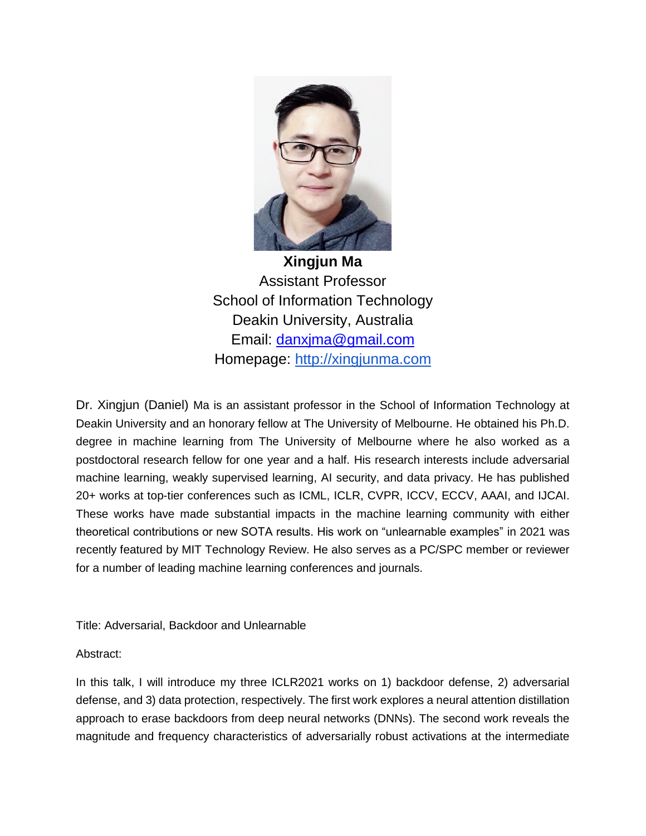

**Xingjun Ma** Assistant Professor School of Information Technology Deakin University, Australia Email: [danxjma@gmail.com](mailto:danxjma@gmail.com) Homepage: [http://xingjunma.com](http://xingjunma.com/)

Dr. Xingjun (Daniel) Ma is an assistant professor in the School of Information Technology at Deakin University and an honorary fellow at The University of Melbourne. He obtained his Ph.D. degree in machine learning from The University of Melbourne where he also worked as a postdoctoral research fellow for one year and a half. His research interests include adversarial machine learning, weakly supervised learning, AI security, and data privacy. He has published 20+ works at top-tier conferences such as ICML, ICLR, CVPR, ICCV, ECCV, AAAI, and IJCAI. These works have made substantial impacts in the machine learning community with either theoretical contributions or new SOTA results. His work on "unlearnable examples" in 2021 was recently featured by MIT Technology Review. He also serves as a PC/SPC member or reviewer for a number of leading machine learning conferences and journals.

Title: Adversarial, Backdoor and Unlearnable

## Abstract:

In this talk, I will introduce my three ICLR2021 works on 1) backdoor defense, 2) adversarial defense, and 3) data protection, respectively. The first work explores a neural attention distillation approach to erase backdoors from deep neural networks (DNNs). The second work reveals the magnitude and frequency characteristics of adversarially robust activations at the intermediate